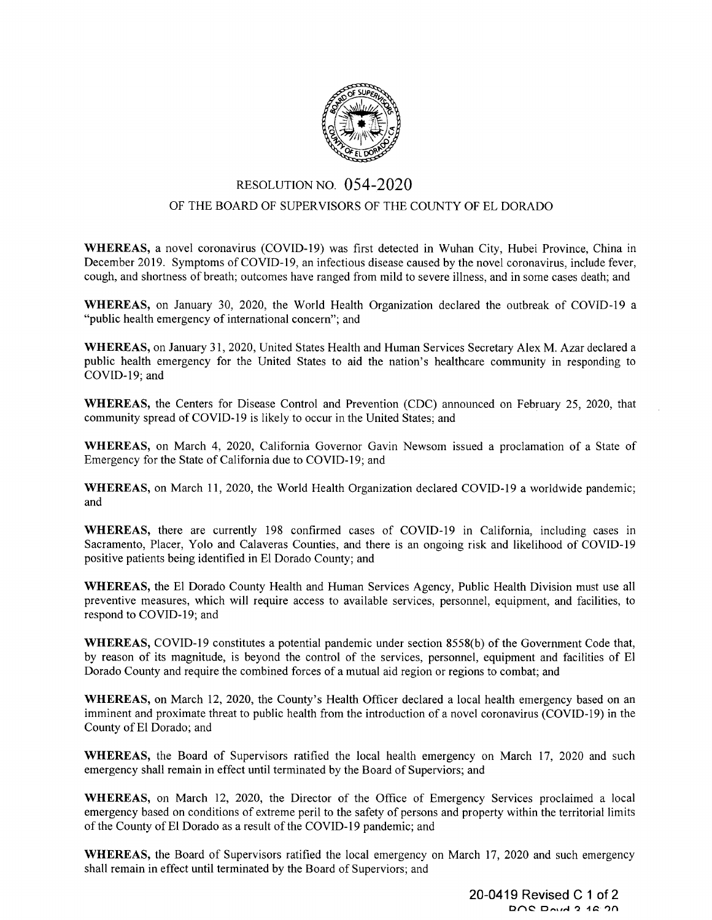

## RESOLUTION NO. **054-2020**

## OF THE BOARD OF SUPERVISORS OF THE COUNTY OF EL DORADO

**WHEREAS,** a novel coronavirus (COVID-19) was first detected in Wuhan City, Hubei Province, China in December 2019. Symptoms of COVID-19, an infectious disease caused by the novel coronavirus, include fever, cough, and shortness of breath; outcomes have ranged from mild to severe illness, and in some cases death; and

**WHEREAS,** on January 30, 2020, the World Health Organization declared the outbreak of COVID-19 a "public health emergency of international concern"; and

**WHEREAS,** on January 31, 2020, United States Health and Human Services Secretary Alex M. Azar declared a public health emergency for the United States to aid the nation's healthcare community in responding to COVID-19; and

**WHEREAS,** the Centers for Disease Control and Prevention (CDC) announced on February 25, 2020, that community spread of COVID-19 is likely to occur in the United States; and

**WHEREAS,** on March 4, 2020, California Governor Gavin Newsom issued a proclamation of a State of Emergency for the State of California due to COVID-19; and

**WHEREAS,** on March 11, 2020, the World Health Organization declared COVID-19 a worldwide pandemic; and

**WHEREAS,** there are currently 198 confirmed cases of COVID-19 in California, including cases in Sacramento, Placer, Yolo and Calaveras Counties, and there is an ongoing risk and likelihood of COVID-19 positive patients being identified in El Dorado County; and

**WHEREAS,** the El Dorado County Health and Human Services Agency, Public Health Division must use all preventive measures, which will require access to available services, personnel, equipment, and facilities, to respond to COVID-19; and

**WHEREAS,** COVID-19 constitutes a potential pandemic under section 8558(b) of the Government Code that, by reason of its magnitude, is beyond the control of the services, personnel, equipment and facilities of El Dorado County and require the combined forces of a mutual aid region or regions to combat; and

**WHEREAS,** on March 12, 2020, the County's Health Officer declared a local health emergency based on an imminent and proximate threat to public health from the introduction of a novel coronavirus (COVID-19) in the County of El Dorado; and

**WHEREAS,** the Board of Supervisors ratified the local health emergency on March 17, 2020 and such emergency shall remain in effect until terminated by the Board of Superviors; and

**WHEREAS,** on March 12, 2020, the Director of the Office of Emergency Services proclaimed a local emergency based on conditions of extreme peril to the safety of persons and property within the territorial limits of the County of El Dorado as a result of the COVID-19 pandemic; and

**WHEREAS,** the Board of Supervisors ratified the local emergency on March 17, 2020 and such emergency shall remain in effect until terminated by the Board of Superviors; and

> **20-0419 Revised C 1 of 2** DOC Doud 2 18:20